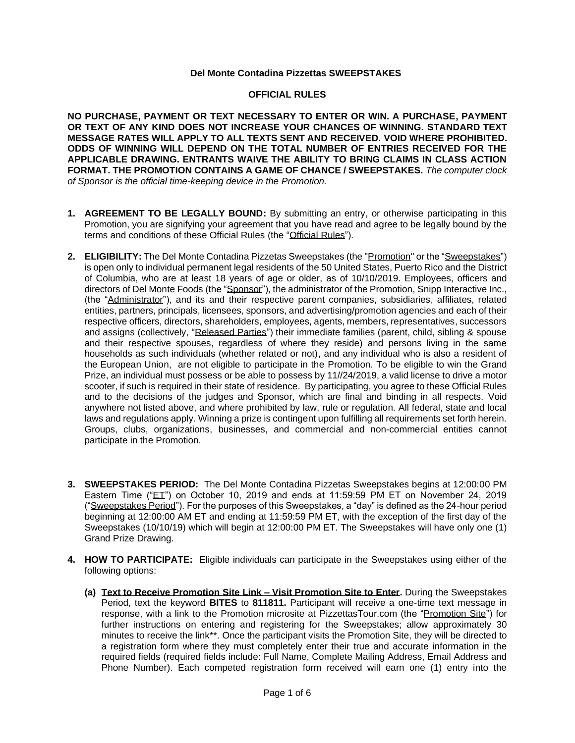## **Del Monte Contadina Pizzettas SWEEPSTAKES**

## **OFFICIAL RULES**

**NO PURCHASE, PAYMENT OR TEXT NECESSARY TO ENTER OR WIN. A PURCHASE, PAYMENT OR TEXT OF ANY KIND DOES NOT INCREASE YOUR CHANCES OF WINNING. STANDARD TEXT MESSAGE RATES WILL APPLY TO ALL TEXTS SENT AND RECEIVED. VOID WHERE PROHIBITED. ODDS OF WINNING WILL DEPEND ON THE TOTAL NUMBER OF ENTRIES RECEIVED FOR THE APPLICABLE DRAWING. ENTRANTS WAIVE THE ABILITY TO BRING CLAIMS IN CLASS ACTION FORMAT. THE PROMOTION CONTAINS A GAME OF CHANCE / SWEEPSTAKES.** *The computer clock of Sponsor is the official time-keeping device in the Promotion.*

- **1. AGREEMENT TO BE LEGALLY BOUND:** By submitting an entry, or otherwise participating in this Promotion, you are signifying your agreement that you have read and agree to be legally bound by the terms and conditions of these Official Rules (the "Official Rules").
- **2. ELIGIBILITY:** The Del Monte Contadina Pizzetas Sweepstakes (the "Promotion" or the "Sweepstakes") is open only to individual permanent legal residents of the 50 United States, Puerto Rico and the District of Columbia, who are at least 18 years of age or older, as of 10/10/2019. Employees, officers and directors of Del Monte Foods (the "Sponsor"), the administrator of the Promotion, Snipp Interactive Inc., (the "Administrator"), and its and their respective parent companies, subsidiaries, affiliates, related entities, partners, principals, licensees, sponsors, and advertising/promotion agencies and each of their respective officers, directors, shareholders, employees, agents, members, representatives, successors and assigns (collectively, "Released Parties") their immediate families (parent, child, sibling & spouse and their respective spouses, regardless of where they reside) and persons living in the same households as such individuals (whether related or not), and any individual who is also a resident of the European Union, are not eligible to participate in the Promotion. To be eligible to win the Grand Prize, an individual must possess or be able to possess by 11//24/2019, a valid license to drive a motor scooter, if such is required in their state of residence. By participating, you agree to these Official Rules and to the decisions of the judges and Sponsor, which are final and binding in all respects. Void anywhere not listed above, and where prohibited by law, rule or regulation. All federal, state and local laws and regulations apply. Winning a prize is contingent upon fulfilling all requirements set forth herein. Groups, clubs, organizations, businesses, and commercial and non-commercial entities cannot participate in the Promotion.
- **3. SWEEPSTAKES PERIOD:** The Del Monte Contadina Pizzetas Sweepstakes begins at 12:00:00 PM Eastern Time ("ET") on October 10, 2019 and ends at 11:59:59 PM ET on November 24, 2019 ("Sweepstakes Period"). For the purposes of this Sweepstakes, a "day" is defined as the 24-hour period beginning at 12:00:00 AM ET and ending at 11:59:59 PM ET, with the exception of the first day of the Sweepstakes (10/10/19) which will begin at 12:00:00 PM ET. The Sweepstakes will have only one (1) Grand Prize Drawing.
- **4. HOW TO PARTICIPATE:** Eligible individuals can participate in the Sweepstakes using either of the following options:
	- **(a) Text to Receive Promotion Site Link – Visit Promotion Site to Enter.** During the Sweepstakes Period, text the keyword **BITES** to **811811.** Participant will receive a one-time text message in response, with a link to the Promotion microsite at PizzettasTour.com (the "Promotion Site") for further instructions on entering and registering for the Sweepstakes; allow approximately 30 minutes to receive the link\*\*. Once the participant visits the Promotion Site, they will be directed to a registration form where they must completely enter their true and accurate information in the required fields (required fields include: Full Name, Complete Mailing Address, Email Address and Phone Number). Each competed registration form received will earn one (1) entry into the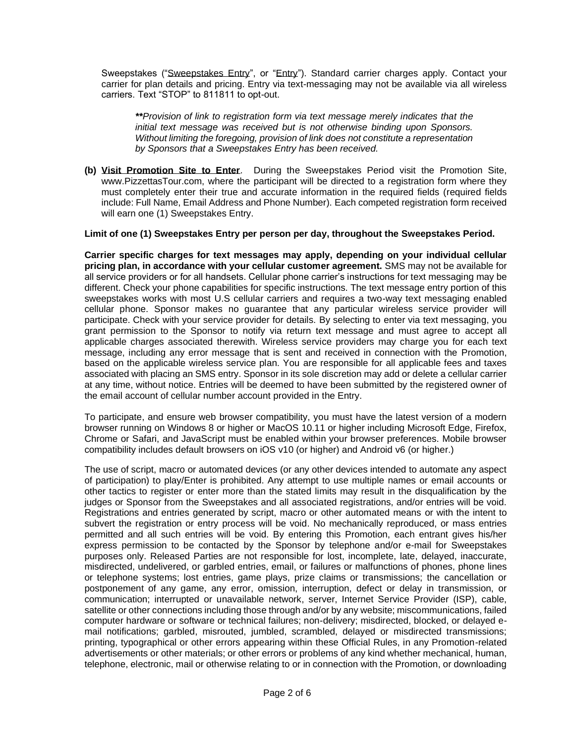Sweepstakes ("Sweepstakes Entry", or "Entry"). Standard carrier charges apply. Contact your carrier for plan details and pricing. Entry via text-messaging may not be available via all wireless carriers. Text "STOP" to 811811 to opt-out.

*\*\*Provision of link to registration form via text message merely indicates that the initial text message was received but is not otherwise binding upon Sponsors. Without limiting the foregoing, provision of link does not constitute a representation by Sponsors that a Sweepstakes Entry has been received.*

**(b) Visit Promotion Site to Enter**. During the Sweepstakes Period visit the Promotion Site, www.PizzettasTour.com, where the participant will be directed to a registration form where they must completely enter their true and accurate information in the required fields (required fields include: Full Name, Email Address and Phone Number). Each competed registration form received will earn one (1) Sweepstakes Entry.

## **Limit of one (1) Sweepstakes Entry per person per day, throughout the Sweepstakes Period.**

**Carrier specific charges for text messages may apply, depending on your individual cellular pricing plan, in accordance with your cellular customer agreement.** SMS may not be available for all service providers or for all handsets. Cellular phone carrier's instructions for text messaging may be different. Check your phone capabilities for specific instructions. The text message entry portion of this sweepstakes works with most U.S cellular carriers and requires a two-way text messaging enabled cellular phone. Sponsor makes no guarantee that any particular wireless service provider will participate. Check with your service provider for details. By selecting to enter via text messaging, you grant permission to the Sponsor to notify via return text message and must agree to accept all applicable charges associated therewith. Wireless service providers may charge you for each text message, including any error message that is sent and received in connection with the Promotion, based on the applicable wireless service plan. You are responsible for all applicable fees and taxes associated with placing an SMS entry. Sponsor in its sole discretion may add or delete a cellular carrier at any time, without notice. Entries will be deemed to have been submitted by the registered owner of the email account of cellular number account provided in the Entry.

To participate, and ensure web browser compatibility, you must have the latest version of a modern browser running on Windows 8 or higher or MacOS 10.11 or higher including Microsoft Edge, Firefox, Chrome or Safari, and JavaScript must be enabled within your browser preferences. Mobile browser compatibility includes default browsers on iOS v10 (or higher) and Android v6 (or higher.)

The use of script, macro or automated devices (or any other devices intended to automate any aspect of participation) to play/Enter is prohibited. Any attempt to use multiple names or email accounts or other tactics to register or enter more than the stated limits may result in the disqualification by the judges or Sponsor from the Sweepstakes and all associated registrations, and/or entries will be void. Registrations and entries generated by script, macro or other automated means or with the intent to subvert the registration or entry process will be void. No mechanically reproduced, or mass entries permitted and all such entries will be void. By entering this Promotion, each entrant gives his/her express permission to be contacted by the Sponsor by telephone and/or e-mail for Sweepstakes purposes only. Released Parties are not responsible for lost, incomplete, late, delayed, inaccurate, misdirected, undelivered, or garbled entries, email, or failures or malfunctions of phones, phone lines or telephone systems; lost entries, game plays, prize claims or transmissions; the cancellation or postponement of any game, any error, omission, interruption, defect or delay in transmission, or communication; interrupted or unavailable network, server, Internet Service Provider (ISP), cable, satellite or other connections including those through and/or by any website; miscommunications, failed computer hardware or software or technical failures; non-delivery; misdirected, blocked, or delayed email notifications; garbled, misrouted, jumbled, scrambled, delayed or misdirected transmissions; printing, typographical or other errors appearing within these Official Rules, in any Promotion-related advertisements or other materials; or other errors or problems of any kind whether mechanical, human, telephone, electronic, mail or otherwise relating to or in connection with the Promotion, or downloading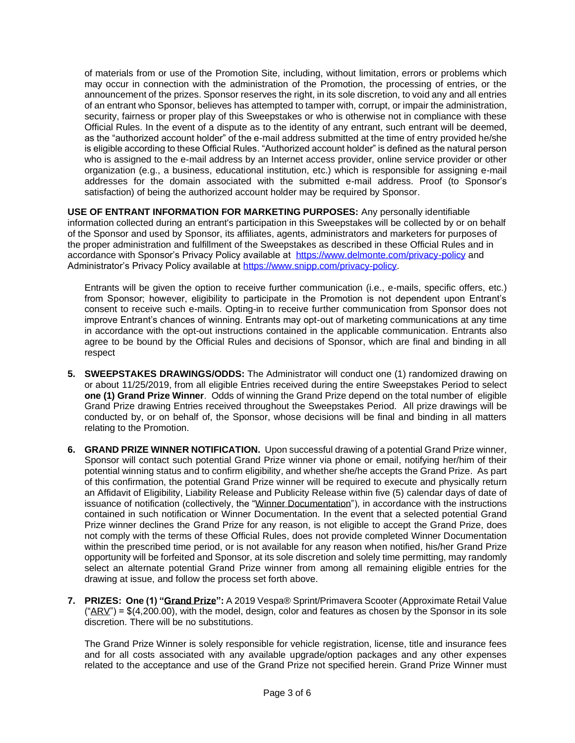of materials from or use of the Promotion Site, including, without limitation, errors or problems which may occur in connection with the administration of the Promotion, the processing of entries, or the announcement of the prizes. Sponsor reserves the right, in its sole discretion, to void any and all entries of an entrant who Sponsor, believes has attempted to tamper with, corrupt, or impair the administration, security, fairness or proper play of this Sweepstakes or who is otherwise not in compliance with these Official Rules. In the event of a dispute as to the identity of any entrant, such entrant will be deemed, as the "authorized account holder" of the e-mail address submitted at the time of entry provided he/she is eligible according to these Official Rules. "Authorized account holder" is defined as the natural person who is assigned to the e-mail address by an Internet access provider, online service provider or other organization (e.g., a business, educational institution, etc.) which is responsible for assigning e-mail addresses for the domain associated with the submitted e-mail address. Proof (to Sponsor's satisfaction) of being the authorized account holder may be required by Sponsor.

**USE OF ENTRANT INFORMATION FOR MARKETING PURPOSES:** Any personally identifiable information collected during an entrant's participation in this Sweepstakes will be collected by or on behalf of the Sponsor and used by Sponsor, its affiliates, agents, administrators and marketers for purposes of the proper administration and fulfillment of the Sweepstakes as described in these Official Rules and in accordance with Sponsor's Privacy Policy available at <https://www.delmonte.com/privacy-policy> and Administrator's Privacy Policy available at [https://www.snipp.com/privacy-policy.](https://www.snipp.com/privacy-policy)

Entrants will be given the option to receive further communication (i.e., e-mails, specific offers, etc.) from Sponsor; however, eligibility to participate in the Promotion is not dependent upon Entrant's consent to receive such e-mails. Opting-in to receive further communication from Sponsor does not improve Entrant's chances of winning. Entrants may opt-out of marketing communications at any time in accordance with the opt-out instructions contained in the applicable communication. Entrants also agree to be bound by the Official Rules and decisions of Sponsor, which are final and binding in all respect

- **5. SWEEPSTAKES DRAWINGS/ODDS:** The Administrator will conduct one (1) randomized drawing on or about 11/25/2019, from all eligible Entries received during the entire Sweepstakes Period to select **one (1) Grand Prize Winner**. Odds of winning the Grand Prize depend on the total number of eligible Grand Prize drawing Entries received throughout the Sweepstakes Period. All prize drawings will be conducted by, or on behalf of, the Sponsor, whose decisions will be final and binding in all matters relating to the Promotion.
- **6. GRAND PRIZE WINNER NOTIFICATION.** Upon successful drawing of a potential Grand Prize winner, Sponsor will contact such potential Grand Prize winner via phone or email, notifying her/him of their potential winning status and to confirm eligibility, and whether she/he accepts the Grand Prize. As part of this confirmation, the potential Grand Prize winner will be required to execute and physically return an Affidavit of Eligibility, Liability Release and Publicity Release within five (5) calendar days of date of issuance of notification (collectively, the "Winner Documentation"), in accordance with the instructions contained in such notification or Winner Documentation. In the event that a selected potential Grand Prize winner declines the Grand Prize for any reason, is not eligible to accept the Grand Prize, does not comply with the terms of these Official Rules, does not provide completed Winner Documentation within the prescribed time period, or is not available for any reason when notified, his/her Grand Prize opportunity will be forfeited and Sponsor, at its sole discretion and solely time permitting, may randomly select an alternate potential Grand Prize winner from among all remaining eligible entries for the drawing at issue, and follow the process set forth above.
- <span id="page-2-0"></span>**7. PRIZES: One (1) "Grand Prize":** A 2019 Vespa® Sprint/Primavera Scooter (Approximate Retail Value  $(*ARY") = $(4,200.00)$ , with the model, design, color and features as chosen by the Sponsor in its sole discretion. There will be no substitutions.

The Grand Prize Winner is solely responsible for vehicle registration, license, title and insurance fees and for all costs associated with any available upgrade/option packages and any other expenses related to the acceptance and use of the Grand Prize not specified herein. Grand Prize Winner must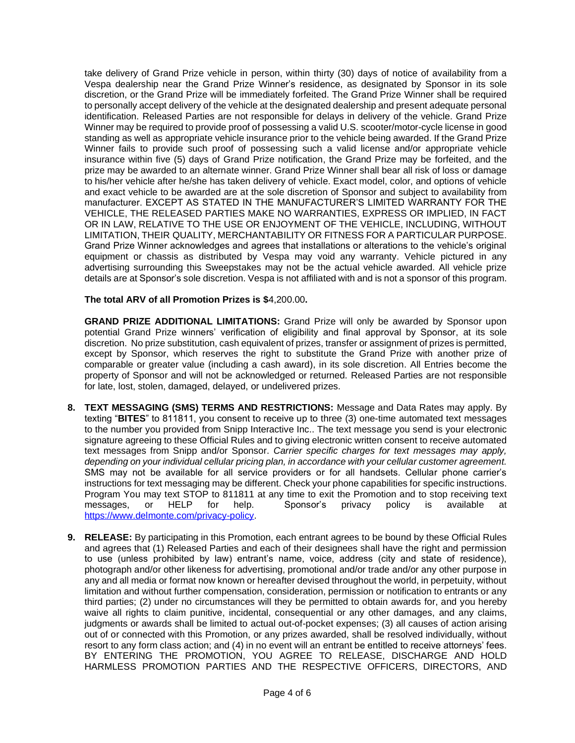take delivery of Grand Prize vehicle in person, within thirty (30) days of notice of availability from a Vespa dealership near the Grand Prize Winner's residence, as designated by Sponsor in its sole discretion, or the Grand Prize will be immediately forfeited. The Grand Prize Winner shall be required to personally accept delivery of the vehicle at the designated dealership and present adequate personal identification. Released Parties are not responsible for delays in delivery of the vehicle. Grand Prize Winner may be required to provide proof of possessing a valid U.S. scooter/motor-cycle license in good standing as well as appropriate vehicle insurance prior to the vehicle being awarded. If the Grand Prize Winner fails to provide such proof of possessing such a valid license and/or appropriate vehicle insurance within five (5) days of Grand Prize notification, the Grand Prize may be forfeited, and the prize may be awarded to an alternate winner. Grand Prize Winner shall bear all risk of loss or damage to his/her vehicle after he/she has taken delivery of vehicle. Exact model, color, and options of vehicle and exact vehicle to be awarded are at the sole discretion of Sponsor and subject to availability from manufacturer. EXCEPT AS STATED IN THE MANUFACTURER'S LIMITED WARRANTY FOR THE VEHICLE, THE RELEASED PARTIES MAKE NO WARRANTIES, EXPRESS OR IMPLIED, IN FACT OR IN LAW, RELATIVE TO THE USE OR ENJOYMENT OF THE VEHICLE, INCLUDING, WITHOUT LIMITATION, THEIR QUALITY, MERCHANTABILITY OR FITNESS FOR A PARTICULAR PURPOSE. Grand Prize Winner acknowledges and agrees that installations or alterations to the vehicle's original equipment or chassis as distributed by Vespa may void any warranty. Vehicle pictured in any advertising surrounding this Sweepstakes may not be the actual vehicle awarded. All vehicle prize details are at Sponsor's sole discretion. Vespa is not affiliated with and is not a sponsor of this program.

## **The total ARV of all Promotion Prizes is \$**4,200.00**.**

**GRAND PRIZE ADDITIONAL LIMITATIONS:** Grand Prize will only be awarded by Sponsor upon potential Grand Prize winners' verification of eligibility and final approval by Sponsor, at its sole discretion. No prize substitution, cash equivalent of prizes, transfer or assignment of prizes is permitted, except by Sponsor, which reserves the right to substitute the Grand Prize with another prize of comparable or greater value (including a cash award), in its sole discretion. All Entries become the property of Sponsor and will not be acknowledged or returned. Released Parties are not responsible for late, lost, stolen, damaged, delayed, or undelivered prizes.

- **8. TEXT MESSAGING (SMS) TERMS AND RESTRICTIONS:** Message and Data Rates may apply. By texting "**BITES**" to 811811, you consent to receive up to three (3) one-time automated text messages to the number you provided from Snipp Interactive Inc.. The text message you send is your electronic signature agreeing to these Official Rules and to giving electronic written consent to receive automated text messages from Snipp and/or Sponsor. *Carrier specific charges for text messages may apply, depending on your individual cellular pricing plan, in accordance with your cellular customer agreement.* SMS may not be available for all service providers or for all handsets. Cellular phone carrier's instructions for text messaging may be different. Check your phone capabilities for specific instructions. Program You may text STOP to 811811 at any time to exit the Promotion and to stop receiving text messages, or HELP for help. Sponsor's privacy policy is available at [https://www.delmonte.com/privacy-policy.](https://www.delmonte.com/privacy-policy)
- **9. RELEASE:** By participating in this Promotion, each entrant agrees to be bound by these Official Rules and agrees that (1) Released Parties and each of their designees shall have the right and permission to use (unless prohibited by law) entrant's name, voice, address (city and state of residence), photograph and/or other likeness for advertising, promotional and/or trade and/or any other purpose in any and all media or format now known or hereafter devised throughout the world, in perpetuity, without limitation and without further compensation, consideration, permission or notification to entrants or any third parties; (2) under no circumstances will they be permitted to obtain awards for, and you hereby waive all rights to claim punitive, incidental, consequential or any other damages, and any claims, judgments or awards shall be limited to actual out-of-pocket expenses; (3) all causes of action arising out of or connected with this Promotion, or any prizes awarded, shall be resolved individually, without resort to any form class action; and (4) in no event will an entrant be entitled to receive attorneys' fees. BY ENTERING THE PROMOTION, YOU AGREE TO RELEASE, DISCHARGE AND HOLD HARMLESS PROMOTION PARTIES AND THE RESPECTIVE OFFICERS, DIRECTORS, AND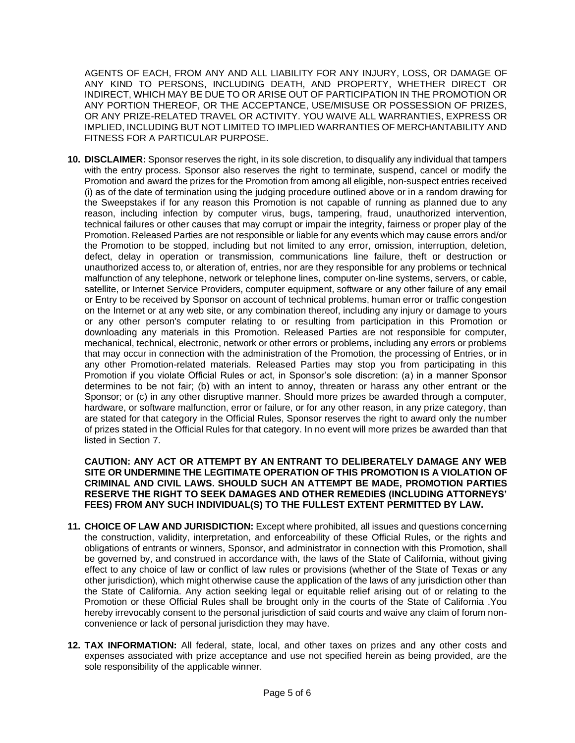AGENTS OF EACH, FROM ANY AND ALL LIABILITY FOR ANY INJURY, LOSS, OR DAMAGE OF ANY KIND TO PERSONS, INCLUDING DEATH, AND PROPERTY, WHETHER DIRECT OR INDIRECT, WHICH MAY BE DUE TO OR ARISE OUT OF PARTICIPATION IN THE PROMOTION OR ANY PORTION THEREOF, OR THE ACCEPTANCE, USE/MISUSE OR POSSESSION OF PRIZES, OR ANY PRIZE-RELATED TRAVEL OR ACTIVITY. YOU WAIVE ALL WARRANTIES, EXPRESS OR IMPLIED, INCLUDING BUT NOT LIMITED TO IMPLIED WARRANTIES OF MERCHANTABILITY AND FITNESS FOR A PARTICULAR PURPOSE.

**10. DISCLAIMER:** Sponsor reserves the right, in its sole discretion, to disqualify any individual that tampers with the entry process. Sponsor also reserves the right to terminate, suspend, cancel or modify the Promotion and award the prizes for the Promotion from among all eligible, non-suspect entries received (i) as of the date of termination using the judging procedure outlined above or in a random drawing for the Sweepstakes if for any reason this Promotion is not capable of running as planned due to any reason, including infection by computer virus, bugs, tampering, fraud, unauthorized intervention, technical failures or other causes that may corrupt or impair the integrity, fairness or proper play of the Promotion. Released Parties are not responsible or liable for any events which may cause errors and/or the Promotion to be stopped, including but not limited to any error, omission, interruption, deletion, defect, delay in operation or transmission, communications line failure, theft or destruction or unauthorized access to, or alteration of, entries, nor are they responsible for any problems or technical malfunction of any telephone, network or telephone lines, computer on-line systems, servers, or cable, satellite, or Internet Service Providers, computer equipment, software or any other failure of any email or Entry to be received by Sponsor on account of technical problems, human error or traffic congestion on the Internet or at any web site, or any combination thereof, including any injury or damage to yours or any other person's computer relating to or resulting from participation in this Promotion or downloading any materials in this Promotion. Released Parties are not responsible for computer, mechanical, technical, electronic, network or other errors or problems, including any errors or problems that may occur in connection with the administration of the Promotion, the processing of Entries, or in any other Promotion-related materials. Released Parties may stop you from participating in this Promotion if you violate Official Rules or act, in Sponsor's sole discretion: (a) in a manner Sponsor determines to be not fair; (b) with an intent to annoy, threaten or harass any other entrant or the Sponsor; or (c) in any other disruptive manner. Should more prizes be awarded through a computer, hardware, or software malfunction, error or failure, or for any other reason, in any prize category, than are stated for that category in the Official Rules, Sponsor reserves the right to award only the number of prizes stated in the Official Rules for that category. In no event will more prizes be awarded than that listed in Section [7.](#page-2-0)

**CAUTION: ANY ACT OR ATTEMPT BY AN ENTRANT TO DELIBERATELY DAMAGE ANY WEB SITE OR UNDERMINE THE LEGITIMATE OPERATION OF THIS PROMOTION IS A VIOLATION OF CRIMINAL AND CIVIL LAWS. SHOULD SUCH AN ATTEMPT BE MADE, PROMOTION PARTIES RESERVE THE RIGHT TO SEEK DAMAGES AND OTHER REMEDIES (INCLUDING ATTORNEYS' FEES) FROM ANY SUCH INDIVIDUAL(S) TO THE FULLEST EXTENT PERMITTED BY LAW.** 

- **11. CHOICE OF LAW AND JURISDICTION:** Except where prohibited, all issues and questions concerning the construction, validity, interpretation, and enforceability of these Official Rules, or the rights and obligations of entrants or winners, Sponsor, and administrator in connection with this Promotion, shall be governed by, and construed in accordance with, the laws of the State of California, without giving effect to any choice of law or conflict of law rules or provisions (whether of the State of Texas or any other jurisdiction), which might otherwise cause the application of the laws of any jurisdiction other than the State of California. Any action seeking legal or equitable relief arising out of or relating to the Promotion or these Official Rules shall be brought only in the courts of the State of California .You hereby irrevocably consent to the personal jurisdiction of said courts and waive any claim of forum nonconvenience or lack of personal jurisdiction they may have.
- **12. TAX INFORMATION:** All federal, state, local, and other taxes on prizes and any other costs and expenses associated with prize acceptance and use not specified herein as being provided, are the sole responsibility of the applicable winner.